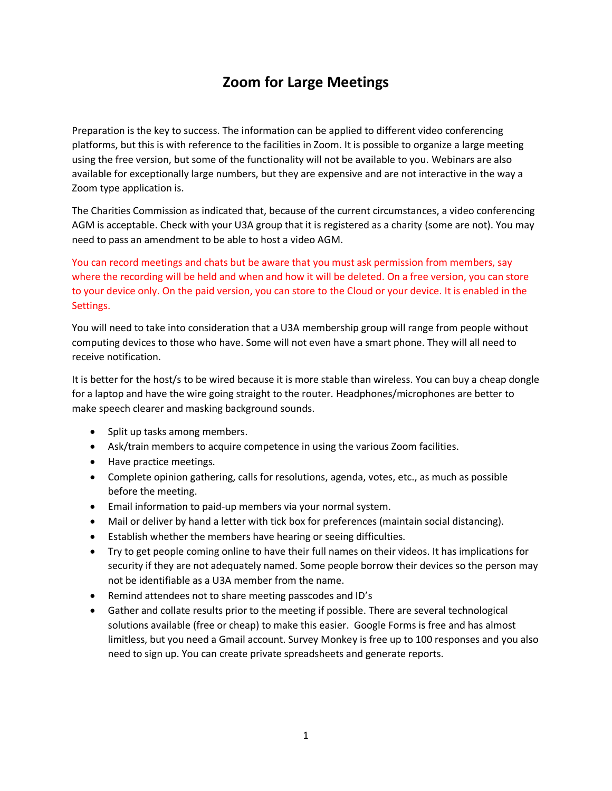# **Zoom for Large Meetings**

Preparation is the key to success. The information can be applied to different video conferencing platforms, but this is with reference to the facilities in Zoom. It is possible to organize a large meeting using the free version, but some of the functionality will not be available to you. Webinars are also available for exceptionally large numbers, but they are expensive and are not interactive in the way a Zoom type application is.

The Charities Commission as indicated that, because of the current circumstances, a video conferencing AGM is acceptable. Check with your U3A group that it is registered as a charity (some are not). You may need to pass an amendment to be able to host a video AGM.

You can record meetings and chats but be aware that you must ask permission from members, say where the recording will be held and when and how it will be deleted. On a free version, you can store to your device only. On the paid version, you can store to the Cloud or your device. It is enabled in the Settings.

You will need to take into consideration that a U3A membership group will range from people without computing devices to those who have. Some will not even have a smart phone. They will all need to receive notification.

It is better for the host/s to be wired because it is more stable than wireless. You can buy a cheap dongle for a laptop and have the wire going straight to the router. Headphones/microphones are better to make speech clearer and masking background sounds.

- Split up tasks among members.
- Ask/train members to acquire competence in using the various Zoom facilities.
- Have practice meetings.
- Complete opinion gathering, calls for resolutions, agenda, votes, etc., as much as possible before the meeting.
- Email information to paid-up members via your normal system.
- Mail or deliver by hand a letter with tick box for preferences (maintain social distancing).
- Establish whether the members have hearing or seeing difficulties.
- Try to get people coming online to have their full names on their videos. It has implications for security if they are not adequately named. Some people borrow their devices so the person may not be identifiable as a U3A member from the name.
- Remind attendees not to share meeting passcodes and ID's
- Gather and collate results prior to the meeting if possible. There are several technological solutions available (free or cheap) to make this easier. Google Forms is free and has almost limitless, but you need a Gmail account. Survey Monkey is free up to 100 responses and you also need to sign up. You can create private spreadsheets and generate reports.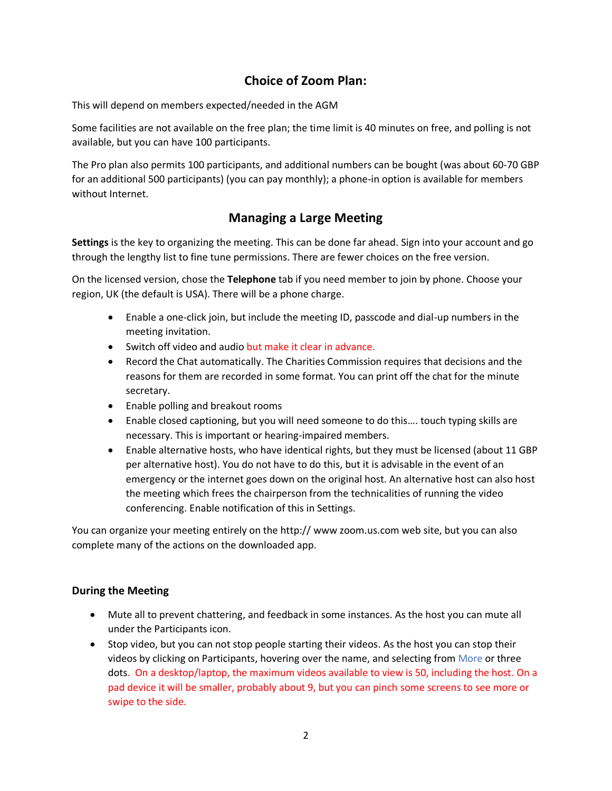## **Choice of Zoom Plan:**

This will depend on members expected/needed in the AGM

Some facilities are not available on the free plan; the time limit is 40 minutes on free, and polling is not available, but you can have 100 participants.

The Pro plan also permits 100 participants, and additional numbers can be bought (was about 60-70 GBP for an additional 500 participants) (you can pay monthly); a phone-in option is available for members without Internet.

### **Managing a Large Meeting**

**Settings** is the key to organizing the meeting. This can be done far ahead. Sign into your account and go through the lengthy list to fine tune permissions. There are fewer choices on the free version.

On the licensed version, chose the **Telephone** tab if you need member to join by phone. Choose your region, UK (the default is USA). There will be a phone charge.

- Enable a one-click join, but include the meeting ID, passcode and dial-up numbers in the meeting invitation.
- Switch off video and audio but make it clear in advance.
- Record the Chat automatically. The Charities Commission requires that decisions and the reasons for them are recorded in some format. You can print off the chat for the minute secretary.
- Enable polling and breakout rooms
- Enable closed captioning, but you will need someone to do this…. touch typing skills are necessary. This is important or hearing-impaired members.
- Enable alternative hosts, who have identical rights, but they must be licensed (about 11 GBP per alternative host). You do not have to do this, but it is advisable in the event of an emergency or the internet goes down on the original host. An alternative host can also host the meeting which frees the chairperson from the technicalities of running the video conferencing. Enable notification of this in Settings.

You can organize your meeting entirely on the http:// www zoom.us.com web site, but you can also complete many of the actions on the downloaded app.

### **During the Meeting**

- Mute all to prevent chattering, and feedback in some instances. As the host you can mute all under the Participants icon.
- Stop video, but you can not stop people starting their videos. As the host you can stop their videos by clicking on Participants, hovering over the name, and selecting from More or three dots. On a desktop/laptop, the maximum videos available to view is 50, including the host. On a pad device it will be smaller, probably about 9, but you can pinch some screens to see more or swipe to the side.